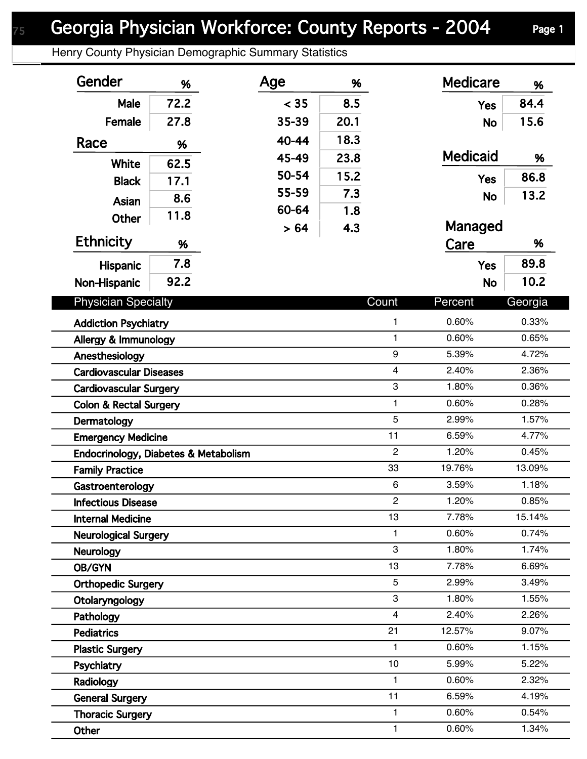## Georgia Physician Workforce: County Reports - 2004 Page 1

Henry County Physician Demographic Summary Statistics

| Gender                                                 | %    | Age   | %    |              | <b>Medicare</b> | %       |
|--------------------------------------------------------|------|-------|------|--------------|-----------------|---------|
| Male                                                   | 72.2 | < 35  | 8.5  |              | <b>Yes</b>      | 84.4    |
| Female                                                 | 27.8 | 35-39 | 20.1 |              | <b>No</b>       | 15.6    |
| Race                                                   | %    | 40-44 | 18.3 |              |                 |         |
|                                                        |      | 45-49 | 23.8 |              | <b>Medicaid</b> | %       |
| White                                                  | 62.5 | 50-54 | 15.2 |              | <b>Yes</b>      | 86.8    |
| <b>Black</b>                                           | 17.1 | 55-59 | 7.3  |              |                 | 13.2    |
| Asian                                                  | 8.6  | 60-64 | 1.8  |              | <b>No</b>       |         |
| Other                                                  | 11.8 | > 64  | 4.3  |              | Managed         |         |
| <b>Ethnicity</b>                                       | %    |       |      |              | Care            | %       |
| <b>Hispanic</b>                                        | 7.8  |       |      |              | <b>Yes</b>      | 89.8    |
|                                                        | 92.2 |       |      |              | <b>No</b>       | 10.2    |
| Non-Hispanic                                           |      |       |      |              |                 |         |
| <b>Physician Specialty</b>                             |      |       |      | Count        | Percent         | Georgia |
| <b>Addiction Psychiatry</b>                            |      |       |      | 1            | 0.60%           | 0.33%   |
| $\mathbf{1}$<br>Allergy & Immunology                   |      |       |      |              | 0.60%           | 0.65%   |
| 9<br>Anesthesiology                                    |      |       |      |              | 5.39%           | 4.72%   |
| $\overline{4}$<br><b>Cardiovascular Diseases</b>       |      |       |      |              | 2.40%           | 2.36%   |
| 3<br><b>Cardiovascular Surgery</b>                     |      |       |      |              | 1.80%           | 0.36%   |
| $\mathbf{1}$<br><b>Colon &amp; Rectal Surgery</b>      |      |       |      |              | 0.60%           | 0.28%   |
| Dermatology                                            |      |       |      | 5            | 2.99%           | 1.57%   |
| 11<br><b>Emergency Medicine</b>                        |      |       |      |              | 6.59%           | 4.77%   |
| $\overline{2}$<br>Endocrinology, Diabetes & Metabolism |      |       |      |              | 1.20%           | 0.45%   |
| 33<br><b>Family Practice</b>                           |      |       |      |              | 19.76%          | 13.09%  |
| 6<br>Gastroenterology                                  |      |       |      | 3.59%        | 1.18%           |         |
| $\overline{c}$<br><b>Infectious Disease</b>            |      |       |      | 1.20%        | 0.85%           |         |
| 13<br><b>Internal Medicine</b>                         |      |       |      | 7.78%        | 15.14%          |         |
| $\mathbf{1}$<br><b>Neurological Surgery</b>            |      |       |      |              | 0.60%           | 0.74%   |
| 3<br><b>Neurology</b>                                  |      |       |      |              | 1.80%           | 1.74%   |
| 13<br>OB/GYN                                           |      |       |      |              | 7.78%           | 6.69%   |
| 5<br><b>Orthopedic Surgery</b>                         |      |       |      |              | 2.99%           | 3.49%   |
| 3<br>Otolaryngology                                    |      |       |      |              | 1.80%           | 1.55%   |
| $\overline{4}$<br>Pathology                            |      |       |      |              | 2.40%           | 2.26%   |
| 21<br><b>Pediatrics</b>                                |      |       |      |              | 12.57%          | 9.07%   |
| $\mathbf{1}$<br><b>Plastic Surgery</b>                 |      |       |      |              | 0.60%           | 1.15%   |
| Psychiatry                                             |      |       |      | 10           | 5.99%           | 5.22%   |
| $\mathbf{1}$<br>Radiology                              |      |       |      |              | 0.60%           | 2.32%   |
| <b>General Surgery</b>                                 |      |       |      | 11           | 6.59%           | 4.19%   |
| <b>Thoracic Surgery</b>                                |      |       |      | $\mathbf{1}$ | 0.60%           | 0.54%   |
| Other                                                  |      |       |      | 1            | 0.60%           | 1.34%   |